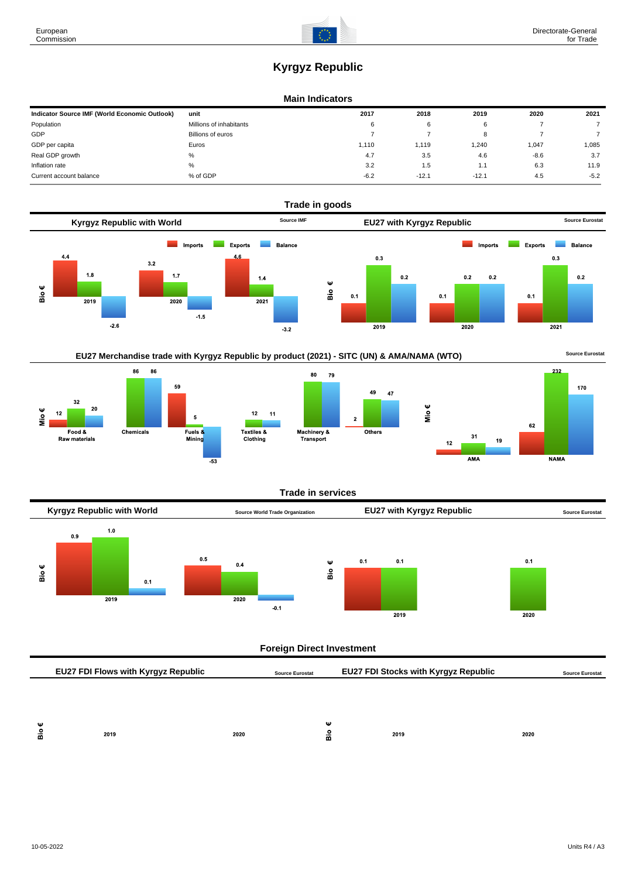# **Kyrgyz Republic**

#### **Main Indicators**

| Indicator Source IMF (World Economic Outlook) | unit                    | 2017   | 2018    | 2019    | 2020   | 2021   |
|-----------------------------------------------|-------------------------|--------|---------|---------|--------|--------|
| Population                                    | Millions of inhabitants | 6      | 6       |         |        |        |
| <b>GDP</b>                                    | Billions of euros       |        |         |         |        |        |
| GDP per capita                                | Euros                   | 1.110  | 1.119   | .240    | 1,047  | 1.085  |
| Real GDP growth                               | %                       | 4.7    | 3.5     | 4.6     | $-8.6$ | 3.7    |
| Inflation rate                                | %                       | 3.2    | 1.5     | .       | 6.3    | 11.9   |
| Current account balance                       | % of GDP                | $-6.2$ | $-12.1$ | $-12.1$ | 4.5    | $-5.2$ |



# EU27 Merchandise trade with Kyrgyz Republic by product (2021) - SITC (UN) & AMA/NAMA (WTO) **Source Eurostat**





49 47



#### **Trade in services**



## **Foreign Direct Investment**

|        | <b>EU27 FDI Flows with Kyrgyz Republic</b><br><b>Source Eurostat</b> |      |        | <b>EU27 FDI Stocks with Kyrgyz Republic</b> |      | <b>Source Eurostat</b> |  |
|--------|----------------------------------------------------------------------|------|--------|---------------------------------------------|------|------------------------|--|
|        |                                                                      |      |        |                                             |      |                        |  |
|        |                                                                      |      |        |                                             |      |                        |  |
| Ψ<br>å | 2019                                                                 | 2020 | Ψ<br>å |                                             | 2019 | 2020                   |  |